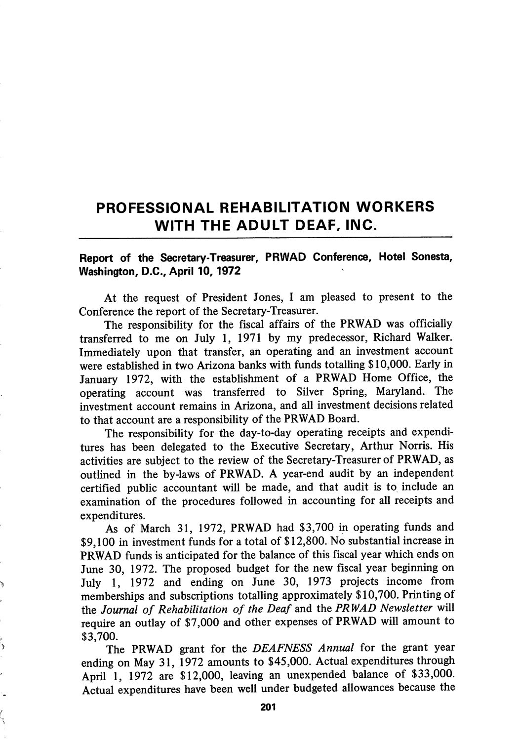## PROFESSIONAL REHABILITATION WORKERS WITH THE ADULT DEAF, INC.

## Report of the Secretary-Treasurer, PRWAD Conference, Hotel Sonesta, Washington, D.C., April 10,1972

At the request of President Jones, I am pleased to present to the Conference the report of the Secretary-Treasurer.

The responsibility for the fiscal affairs of the PRWAD was officially transferred to me on July 1, 1971 by my predecessor, Richard Walker. Immediately upon that transfer, an operating and an investment account were established in two Arizona banks with fimds totalling \$10,000. Early in January 1972, with the establishment of a PRWAD Home Office, the operating account was transferred to Silver Spring, Maryland. The investment account remains in Arizona, and all investment decisions related to that account are a responsibility of the PRWAD Board.

The responsibility for the day-to-day operating receipts and expendi tures has been delegated to the Executive Secretary, Arthur Norris. His activities are subject to the review of the Secretary-Treasurer of PRWAD, as outlined in the by-laws of PRWAD. A year-end audit by an independent certified public accountant will be made, and that audit is to include an examination of the procedures followed in accounting for all receipts and expenditures.

As of March 31, 1972, PRWAD had \$3,700 in operating funds and \$9,100 in investment funds for a total of \$12,800. No substantial increase in PRWAD funds is anticipated for the balance of this fiscal year which ends on June 30, 1972. The proposed budget for the new fiscal year beginning on July 1, 1972 and ending on June 30, 1973 projects income from memberships and subscriptions totalling approximately \$10,700. Printing of the Journal of Rehabilitation of the Deaf and the PRWAD Newsletter will require an outlay of \$7,000 and other expenses of PRWAD will amount to \$3,700.

The PRWAD grant for the DEAFNESS Annual for the grant year ending on May 31, 1972 amounts to \$45,000. Actual expenditures through April 1, 1972 are \$12,000, leaving an unexpended balance of \$33,000. Actual expenditures have been well under budgeted allowances because the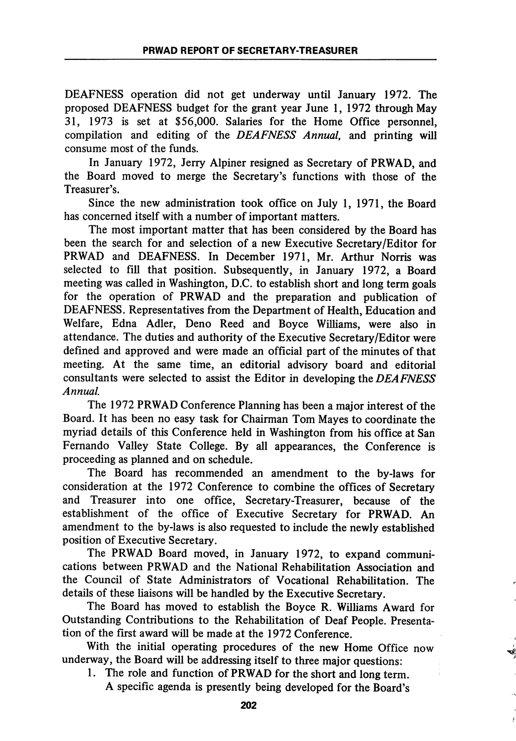DEAFNESS operation did not get underway until January 1972. The proposed DEAFNESS budget for the grant year June 1, 1972 through May 31, 1973 is set at \$56,000. Salaries for the Home Office personnel, compilation and editing of the DEAFNESS Annual, and printing will consume most of the funds.

In January 1972, Jerry Alpiner resigned as Secretary of PRWAD, and the Board moved to merge the Secretary's functions with those of the Treasurer's.

Since the new administration took office on July 1, 1971, the Board has concerned itself with a number of important matters.

The most important matter that has been considered by the Board has been the search for and selection of a new Executive Secretary/Editor for PRWAD and DEAFNESS. In December 1971, Mr. Arthur Norris was selected to fill that position. Subsequently, in January 1972, a Board meeting was called in Washington, D.C. to estabhsh short and long term goals for the operation of PRWAD and the preparation and publication of DEAFNESS. Representatives from the Department of Health, Education and Welfare, Edna Adler, Deno Reed and Boyce Williams, were also in attendance. The duties and authority of the Executive Secretary/Editor were defined and approved and were made an official part of the minutes of that meeting. At the same time, an editorial advisory board and editorial consultants were selected to assist the Editor in developing the DEAFNESS Annual.

The 1972 PRWAD Conference Planning has been a major interest of the Board. It has been no easy task for Chairman Tom Mayes to coordinate the myriad details of this Conference held in Washington from his office at San Fernando Valley State College. By all appearances, the Conference is proceeding as planned and on schedule.

The Board has recommended an amendment to the by-laws for consideration at the 1972 Conference to combine the offices of Secretary and Treasurer into one office, Secretary-Treasurer, because of the establishment of the office of Executive Secretary for PRWAD. An amendment to the by-laws is also requested to include the newly established position of Executive Secretary.

The PRWAD Board moved, in January 1972, to expand communi cations between PRWAD and the National Rehabihtation Association and the Council of State Administrators of Vocational Rehabilitation. The details of these liaisons will be handled by the Executive Secretary.

The Board has moved to establish the Boyce R. Williams Award for Outstanding Contributions to the Rehabihtation of Deaf People. Presenta tion of the first award will be made at the 1972 Conference.

With the initial operating procedures of the new Home Office now underway, the Board will be addressing itself to three major questions:

1. The role and function of PRWAD for the short and long term. A specific agenda is presently being developed for the Board's